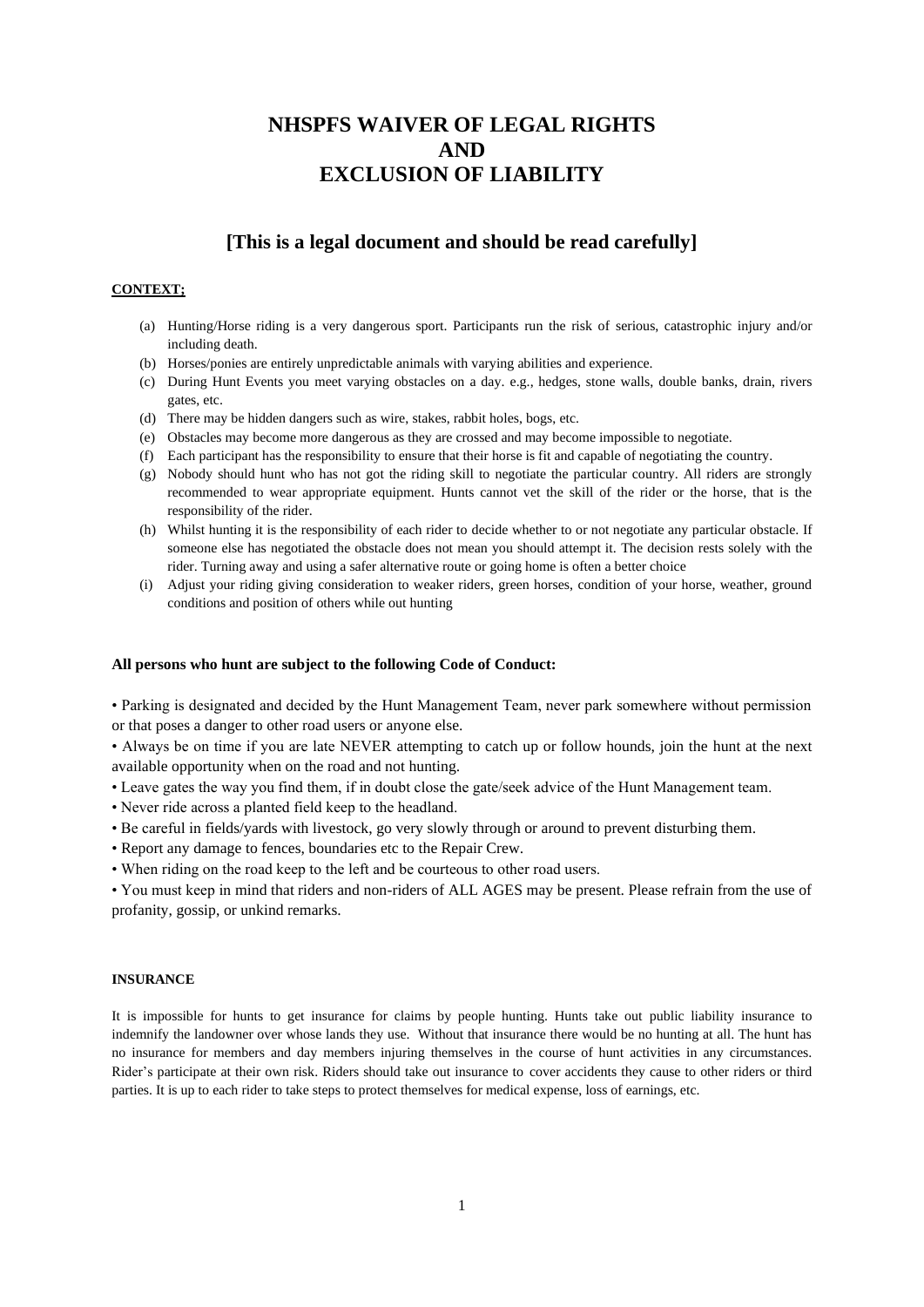# **NHSPFS WAIVER OF LEGAL RIGHTS AND EXCLUSION OF LIABILITY**

# **[This is a legal document and should be read carefully]**

# **CONTEXT;**

- (a) Hunting/Horse riding is a very dangerous sport. Participants run the risk of serious, catastrophic injury and/or including death.
- (b) Horses/ponies are entirely unpredictable animals with varying abilities and experience.
- (c) During Hunt Events you meet varying obstacles on a day. e.g., hedges, stone walls, double banks, drain, rivers gates, etc.
- (d) There may be hidden dangers such as wire, stakes, rabbit holes, bogs, etc.
- (e) Obstacles may become more dangerous as they are crossed and may become impossible to negotiate.
- (f) Each participant has the responsibility to ensure that their horse is fit and capable of negotiating the country.
- (g) Nobody should hunt who has not got the riding skill to negotiate the particular country. All riders are strongly recommended to wear appropriate equipment. Hunts cannot vet the skill of the rider or the horse, that is the responsibility of the rider.
- (h) Whilst hunting it is the responsibility of each rider to decide whether to or not negotiate any particular obstacle. If someone else has negotiated the obstacle does not mean you should attempt it. The decision rests solely with the rider. Turning away and using a safer alternative route or going home is often a better choice
- (i) Adjust your riding giving consideration to weaker riders, green horses, condition of your horse, weather, ground conditions and position of others while out hunting

# **All persons who hunt are subject to the following Code of Conduct:**

• Parking is designated and decided by the Hunt Management Team, never park somewhere without permission or that poses a danger to other road users or anyone else.

• Always be on time if you are late NEVER attempting to catch up or follow hounds, join the hunt at the next available opportunity when on the road and not hunting.

- Leave gates the way you find them, if in doubt close the gate/seek advice of the Hunt Management team.
- Never ride across a planted field keep to the headland.
- Be careful in fields/yards with livestock, go very slowly through or around to prevent disturbing them.
- Report any damage to fences, boundaries etc to the Repair Crew.
- When riding on the road keep to the left and be courteous to other road users.

• You must keep in mind that riders and non-riders of ALL AGES may be present. Please refrain from the use of profanity, gossip, or unkind remarks.

# **INSURANCE**

It is impossible for hunts to get insurance for claims by people hunting. Hunts take out public liability insurance to indemnify the landowner over whose lands they use. Without that insurance there would be no hunting at all. The hunt has no insurance for members and day members injuring themselves in the course of hunt activities in any circumstances. Rider's participate at their own risk. Riders should take out insurance to cover accidents they cause to other riders or third parties. It is up to each rider to take steps to protect themselves for medical expense, loss of earnings, etc.